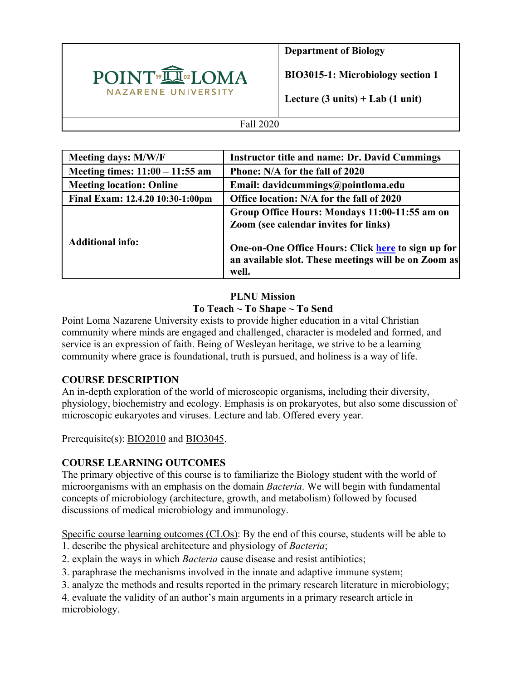

**Department of Biology**

**BIO3015-1: Microbiology section 1**

**Lecture (3 units) + Lab (1 unit)**

#### Fall 2020

| <b>Meeting days: M/W/F</b>        | <b>Instructor title and name: Dr. David Cummings</b>                                                                |
|-----------------------------------|---------------------------------------------------------------------------------------------------------------------|
| Meeting times: $11:00 - 11:55$ am | Phone: N/A for the fall of 2020                                                                                     |
| <b>Meeting location: Online</b>   | Email: davidcummings@pointloma.edu                                                                                  |
| Final Exam: 12.4.20 10:30-1:00pm  | Office location: N/A for the fall of 2020                                                                           |
|                                   | Group Office Hours: Mondays 11:00-11:55 am on<br><b>Zoom</b> (see calendar invites for links)                       |
| <b>Additional info:</b>           | One-on-One Office Hours: Click here to sign up for<br>an available slot. These meetings will be on Zoom as<br>well. |

## **PLNU Mission To Teach ~ To Shape ~ To Send**

Point Loma Nazarene University exists to provide higher education in a vital Christian community where minds are engaged and challenged, character is modeled and formed, and service is an expression of faith. Being of Wesleyan heritage, we strive to be a learning community where grace is foundational, truth is pursued, and holiness is a way of life.

## **COURSE DESCRIPTION**

An in-depth exploration of the world of microscopic organisms, including their diversity, physiology, biochemistry and ecology. Emphasis is on prokaryotes, but also some discussion of microscopic eukaryotes and viruses. Lecture and lab. Offered every year.

Prerequisite(s): BIO2010 and BIO3045.

## **COURSE LEARNING OUTCOMES**

The primary objective of this course is to familiarize the Biology student with the world of microorganisms with an emphasis on the domain *Bacteria*. We will begin with fundamental concepts of microbiology (architecture, growth, and metabolism) followed by focused discussions of medical microbiology and immunology.

Specific course learning outcomes (CLOs): By the end of this course, students will be able to 1. describe the physical architecture and physiology of *Bacteria*;

- 2. explain the ways in which *Bacteria* cause disease and resist antibiotics;
- 3. paraphrase the mechanisms involved in the innate and adaptive immune system;
- 3. analyze the methods and results reported in the primary research literature in microbiology;

4. evaluate the validity of an author's main arguments in a primary research article in microbiology.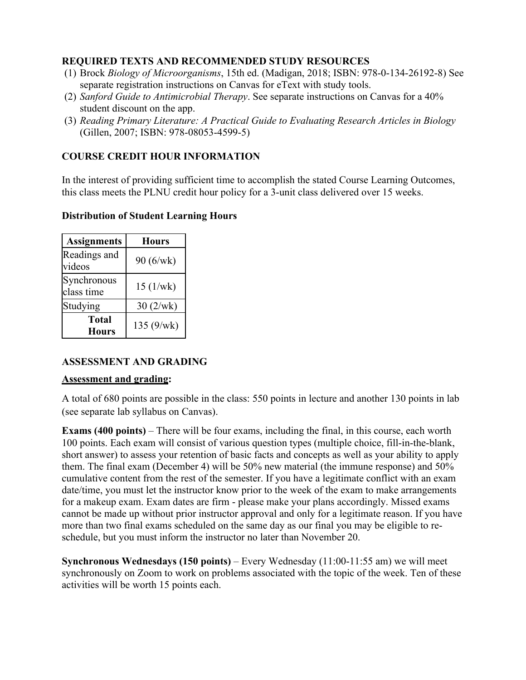### **REQUIRED TEXTS AND RECOMMENDED STUDY RESOURCES**

- (1) Brock *Biology of Microorganisms*, 15th ed. (Madigan, 2018; ISBN: 978-0-134-26192-8) See separate registration instructions on Canvas for eText with study tools.
- (2) *Sanford Guide to Antimicrobial Therapy*. See separate instructions on Canvas for a 40% student discount on the app.
- (3) *Reading Primary Literature: A Practical Guide to Evaluating Research Articles in Biology* (Gillen, 2007; ISBN: 978-08053-4599-5)

## **COURSE CREDIT HOUR INFORMATION**

In the interest of providing sufficient time to accomplish the stated Course Learning Outcomes, this class meets the PLNU credit hour policy for a 3-unit class delivered over 15 weeks.

### **Distribution of Student Learning Hours**

| <b>Assignments</b>           | <b>Hours</b> |  |
|------------------------------|--------------|--|
| Readings and<br>videos       | 90 (6/wk)    |  |
| Synchronous<br>class time    | 15(1/wk)     |  |
| Studying                     | 30(2/wk)     |  |
| <b>Total</b><br><b>Hours</b> | 135(9/wk)    |  |

## **ASSESSMENT AND GRADING**

### **Assessment and grading:**

A total of 680 points are possible in the class: 550 points in lecture and another 130 points in lab (see separate lab syllabus on Canvas).

**Exams (400 points)** – There will be four exams, including the final, in this course, each worth 100 points. Each exam will consist of various question types (multiple choice, fill-in-the-blank, short answer) to assess your retention of basic facts and concepts as well as your ability to apply them. The final exam (December 4) will be 50% new material (the immune response) and 50% cumulative content from the rest of the semester. If you have a legitimate conflict with an exam date/time, you must let the instructor know prior to the week of the exam to make arrangements for a makeup exam. Exam dates are firm - please make your plans accordingly. Missed exams cannot be made up without prior instructor approval and only for a legitimate reason. If you have more than two final exams scheduled on the same day as our final you may be eligible to reschedule, but you must inform the instructor no later than November 20.

**Synchronous Wednesdays (150 points)** – Every Wednesday (11:00-11:55 am) we will meet synchronously on Zoom to work on problems associated with the topic of the week. Ten of these activities will be worth 15 points each.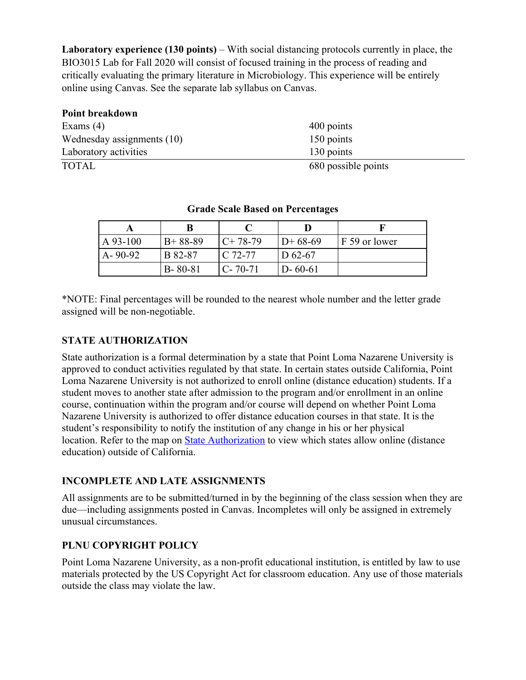Laboratory experience (130 points) – With social distancing protocols currently in place, the BIO3015 Lab for Fall 2020 will consist of focused training in the process of reading and critically evaluating the primary literature in Microbiology. This experience will be entirely online using Canvas. See the separate lab syllabus on Canvas.

| Point breakdown            |                     |
|----------------------------|---------------------|
| Exams $(4)$                | 400 points          |
| Wednesday assignments (10) | 150 points          |
| Laboratory activities      | 130 points          |
| <b>TOTAL</b>               | 680 possible points |

| $A\,93-100$   | $B+88-89$      | $C+78-79$     | $D+68-69$     | F 59 or lower |
|---------------|----------------|---------------|---------------|---------------|
| $A - 90 - 92$ | <b>B</b> 82-87 | I C 72-77     | $D_{62-67}$   |               |
|               | $B - 80 - 81$  | $C - 70 - 71$ | $D - 60 - 61$ |               |

#### **Grade Scale Based on Percentages**

\*NOTE: Final percentages will be rounded to the nearest whole number and the letter grade assigned will be non-negotiable.

#### **STATE AUTHORIZATION**

State authorization is a formal determination by a state that Point Loma Nazarene University is approved to conduct activities regulated by that state. In certain states outside California, Point Loma Nazarene University is not authorized to enroll online (distance education) students. If a student moves to another state after admission to the program and/or enrollment in an online course, continuation within the program and/or course will depend on whether Point Loma Nazarene University is authorized to offer distance education courses in that state. It is the student's responsibility to notify the institution of any change in his or her physical location. Refer to the map on State Authorization to view which states allow online (distance education) outside of California.

#### **INCOMPLETE AND LATE ASSIGNMENTS**

All assignments are to be submitted/turned in by the beginning of the class session when they are due—including assignments posted in Canvas. Incompletes will only be assigned in extremely unusual circumstances.

### **PLNU COPYRIGHT POLICY**

Point Loma Nazarene University, as a non-profit educational institution, is entitled by law to use materials protected by the US Copyright Act for classroom education. Any use of those materials outside the class may violate the law.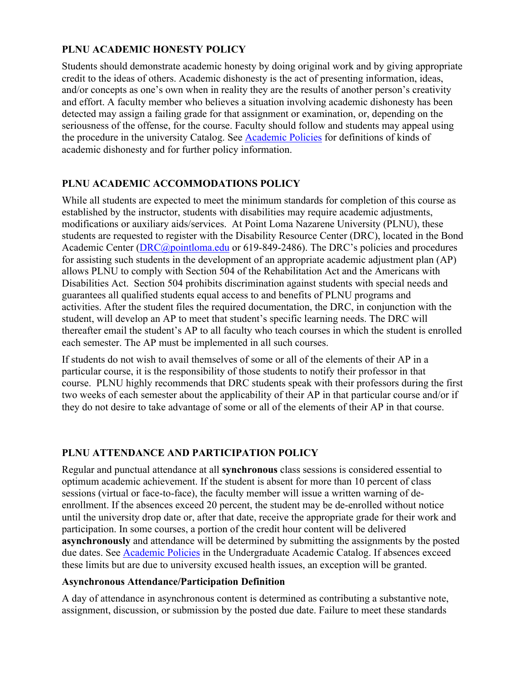## **PLNU ACADEMIC HONESTY POLICY**

Students should demonstrate academic honesty by doing original work and by giving appropriate credit to the ideas of others. Academic dishonesty is the act of presenting information, ideas, and/or concepts as one's own when in reality they are the results of another person's creativity and effort. A faculty member who believes a situation involving academic dishonesty has been detected may assign a failing grade for that assignment or examination, or, depending on the seriousness of the offense, for the course. Faculty should follow and students may appeal using the procedure in the university Catalog. See Academic Policies for definitions of kinds of academic dishonesty and for further policy information.

### **PLNU ACADEMIC ACCOMMODATIONS POLICY**

While all students are expected to meet the minimum standards for completion of this course as established by the instructor, students with disabilities may require academic adjustments, modifications or auxiliary aids/services. At Point Loma Nazarene University (PLNU), these students are requested to register with the Disability Resource Center (DRC), located in the Bond Academic Center (DRC@pointloma.edu or 619-849-2486). The DRC's policies and procedures for assisting such students in the development of an appropriate academic adjustment plan (AP) allows PLNU to comply with Section 504 of the Rehabilitation Act and the Americans with Disabilities Act. Section 504 prohibits discrimination against students with special needs and guarantees all qualified students equal access to and benefits of PLNU programs and activities. After the student files the required documentation, the DRC, in conjunction with the student, will develop an AP to meet that student's specific learning needs. The DRC will thereafter email the student's AP to all faculty who teach courses in which the student is enrolled each semester. The AP must be implemented in all such courses.

If students do not wish to avail themselves of some or all of the elements of their AP in a particular course, it is the responsibility of those students to notify their professor in that course. PLNU highly recommends that DRC students speak with their professors during the first two weeks of each semester about the applicability of their AP in that particular course and/or if they do not desire to take advantage of some or all of the elements of their AP in that course.

## **PLNU ATTENDANCE AND PARTICIPATION POLICY**

Regular and punctual attendance at all **synchronous** class sessions is considered essential to optimum academic achievement. If the student is absent for more than 10 percent of class sessions (virtual or face-to-face), the faculty member will issue a written warning of deenrollment. If the absences exceed 20 percent, the student may be de-enrolled without notice until the university drop date or, after that date, receive the appropriate grade for their work and participation. In some courses, a portion of the credit hour content will be delivered **asynchronously** and attendance will be determined by submitting the assignments by the posted due dates. See Academic Policies in the Undergraduate Academic Catalog. If absences exceed these limits but are due to university excused health issues, an exception will be granted.

### **Asynchronous Attendance/Participation Definition**

A day of attendance in asynchronous content is determined as contributing a substantive note, assignment, discussion, or submission by the posted due date. Failure to meet these standards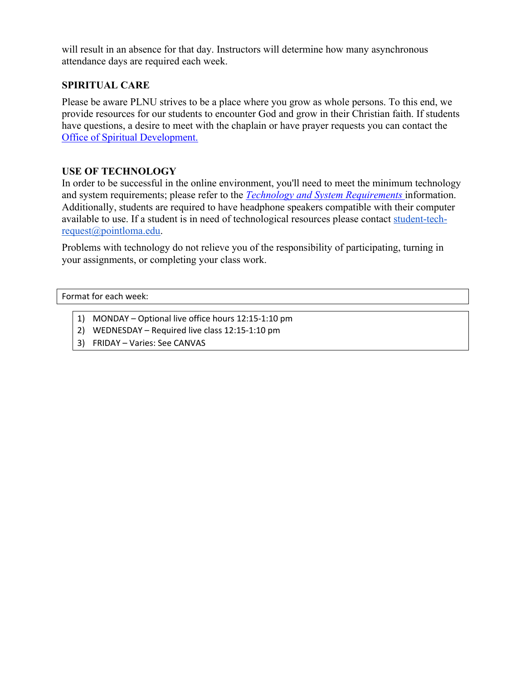will result in an absence for that day. Instructors will determine how many asynchronous attendance days are required each week.

### **SPIRITUAL CARE**

Please be aware PLNU strives to be a place where you grow as whole persons. To this end, we provide resources for our students to encounter God and grow in their Christian faith. If students have questions, a desire to meet with the chaplain or have prayer requests you can contact the Office of Spiritual Development.

### **USE OF TECHNOLOGY**

In order to be successful in the online environment, you'll need to meet the minimum technology and system requirements; please refer to the *Technology and System Requirements* information. Additionally, students are required to have headphone speakers compatible with their computer available to use. If a student is in need of technological resources please contact student-techrequest@pointloma.edu.

Problems with technology do not relieve you of the responsibility of participating, turning in your assignments, or completing your class work.

Format for each week:

- 1) MONDAY Optional live office hours 12:15-1:10 pm
- 2) WEDNESDAY Required live class 12:15-1:10 pm
- 3) FRIDAY Varies: See CANVAS